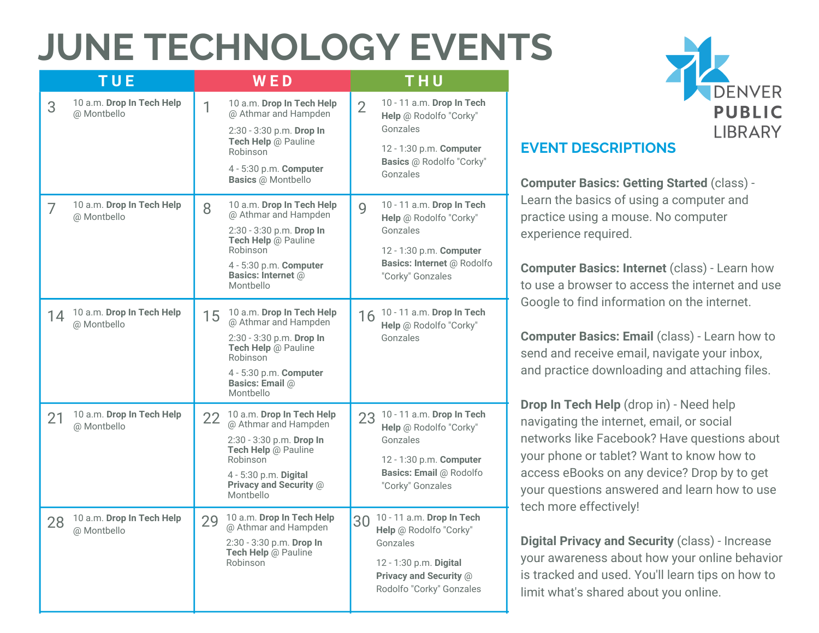## **JUNE TECHNOLOGY EVENTS**

| <b>TUE</b>                                     | <b>WED</b>                                                                                                                                                                                    | THU                                                                                                                                                   |
|------------------------------------------------|-----------------------------------------------------------------------------------------------------------------------------------------------------------------------------------------------|-------------------------------------------------------------------------------------------------------------------------------------------------------|
| 10 a.m. Drop In Tech Help<br>3<br>@ Montbello  | 10 a.m. Drop In Tech Help<br>1<br>@ Athmar and Hampden<br>2:30 - 3:30 p.m. Drop In<br>Tech Help @ Pauline<br>Robinson<br>4 - 5:30 p.m. <b>Computer</b><br><b>Basics @ Montbello</b>           | 10 - 11 a.m. Drop In Tech<br>$\overline{2}$<br>Help @ Rodolfo "Corky"<br>Gonzales<br>12 - 1:30 p.m. Computer<br>Basics @ Rodolfo "Corky"<br>Gonzales  |
| 10 a.m. Drop In Tech Help<br>7<br>@ Montbello  | 10 a.m. Drop In Tech Help<br>8<br>@ Athmar and Hampden<br>2:30 - 3:30 p.m. Drop In<br>Tech Help @ Pauline<br>Robinson<br>4 - 5:30 p.m. Computer<br>Basics: Internet @<br>Montbello            | 10 - 11 a.m. Drop In Tech<br>9<br>Help @ Rodolfo "Corky"<br>Gonzales<br>12 - 1:30 p.m. Computer<br>Basics: Internet @ Rodolfo<br>"Corky" Gonzales     |
| 10 a.m. Drop In Tech Help<br>14<br>@ Montbello | 10 a.m. Drop In Tech Help<br>15 <sup>1</sup><br>@ Athmar and Hampden<br>2:30 - 3:30 p.m. Drop In<br>Tech Help @ Pauline<br>Robinson<br>4 - 5:30 p.m. Computer<br>Basics: Email @<br>Monthello | 16 10 - 11 a.m. Drop In Tech<br>Help @ Rodolfo "Corky"<br>Gonzales                                                                                    |
| 10 a.m. Drop In Tech Help<br>21<br>@ Montbello | 10 a.m. Drop In Tech Help<br>$22-$<br>@ Athmar and Hampden<br>2:30 - 3:30 p.m. Drop In<br>Tech Help @ Pauline<br>Robinson<br>4 - 5:30 p.m. Digital<br>Privacy and Security @<br>Montbello     | 23 10 - 11 a.m. Drop In Tech<br>Help @ Rodolfo "Corky"<br>Gonzales<br>12 - 1:30 p.m. Computer<br>Basics: Email @ Rodolfo<br>"Corky" Gonzales          |
| 10 a.m. Drop In Tech Help<br>28<br>@ Montbello | 10 a.m. Drop In Tech Help<br>29<br>@ Athmar and Hampden<br>2:30 - 3:30 p.m. Drop In<br>Tech Help @ Pauline<br>Robinson                                                                        | 10 - 11 a.m. Drop In Tech<br>30<br>Help @ Rodolfo "Corky"<br>Gonzales<br>12 - 1:30 p.m. Digital<br>Privacy and Security @<br>Rodolfo "Corky" Gonzales |



#### **EVENT DESCRIPTIONS**

**Computer Basics: Getting Started** (class) - Learn the basics of using a computer and practice using a mouse. No computer experience required.

**Computer Basics: Internet** (class) - Learn how to use a browser to access the internet and use Google to find information on the internet.

**Computer Basics: Email** (class) - Learn how to send and receive email, navigate your inbox, and practice downloading and attaching files.

**Drop In Tech Help** (drop in) - Need help navigating the internet, email, or social networks like Facebook? Have questions about your phone or tablet? Want to know how to access eBooks on any device? Drop by to get your questions answered and learn how to use tech more effectively!

**Digital Privacy and Security** (class) - Increase your awareness about how your online behavior is tracked and used. You'll learn tips on how to limit what's shared about you online.